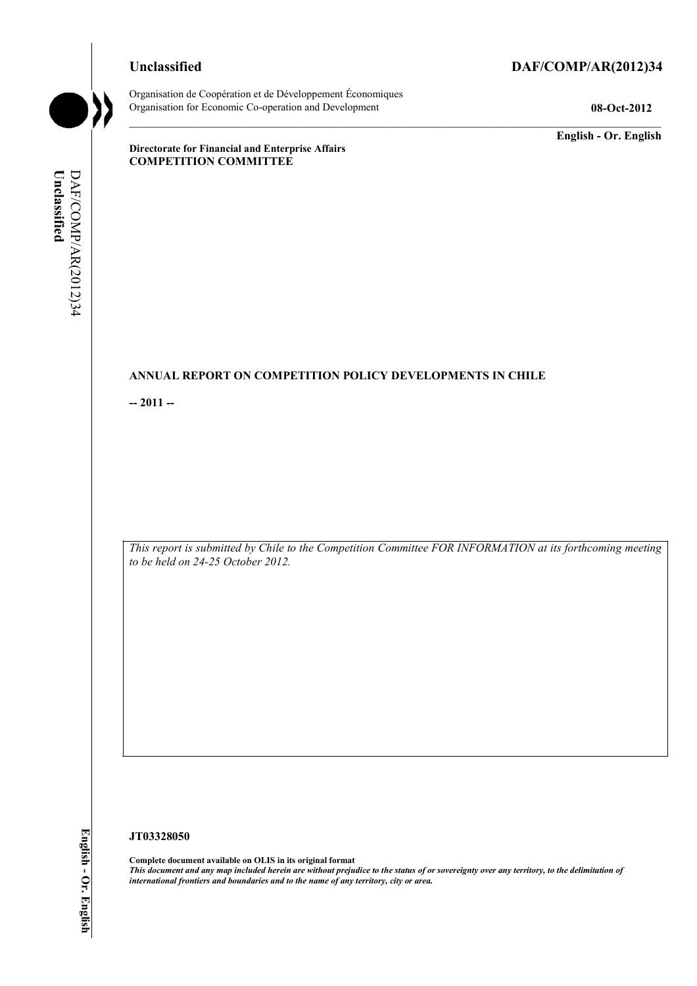## **Unclassified DAF/COMP/AR(2012)34**

Organisation de Coopération et de Développement Économiques Organisation for Economic Co-operation and Development **08-Oct-2012** 

**English - Or. English** 

**Directorate for Financial and Enterprise Affairs COMPETITION COMMITTEE** 

## **ANNUAL REPORT ON COMPETITION POLICY DEVELOPMENTS IN CHILE**

**-- 2011 --** 

*This report is submitted by Chile to the Competition Committee FOR INFORMATION at its forthcoming meeting to be held on 24-25 October 2012.* 

#### **JT03328050**

**Complete document available on OLIS in its original format** *This document and any map included herein are without prejudice to the status of or sovereignty over any territory, to the delimitation of international frontiers and boundaries and to the name of any territory, city or area.*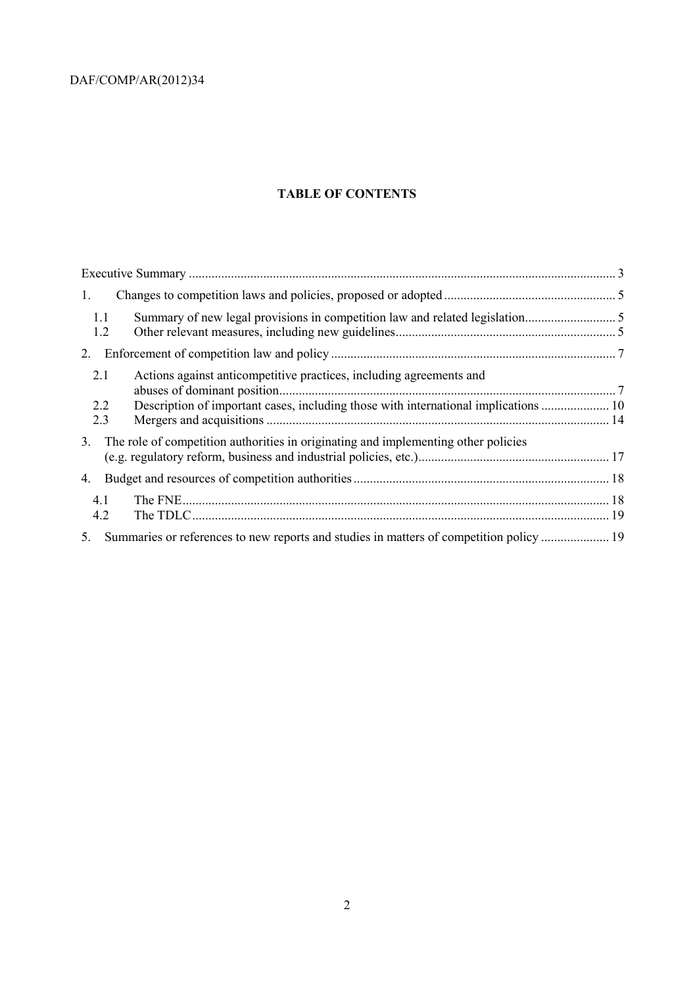# **TABLE OF CONTENTS**

| Description of important cases, including those with international implications  10 |
|-------------------------------------------------------------------------------------|
|                                                                                     |
|                                                                                     |
|                                                                                     |
|                                                                                     |
|                                                                                     |
|                                                                                     |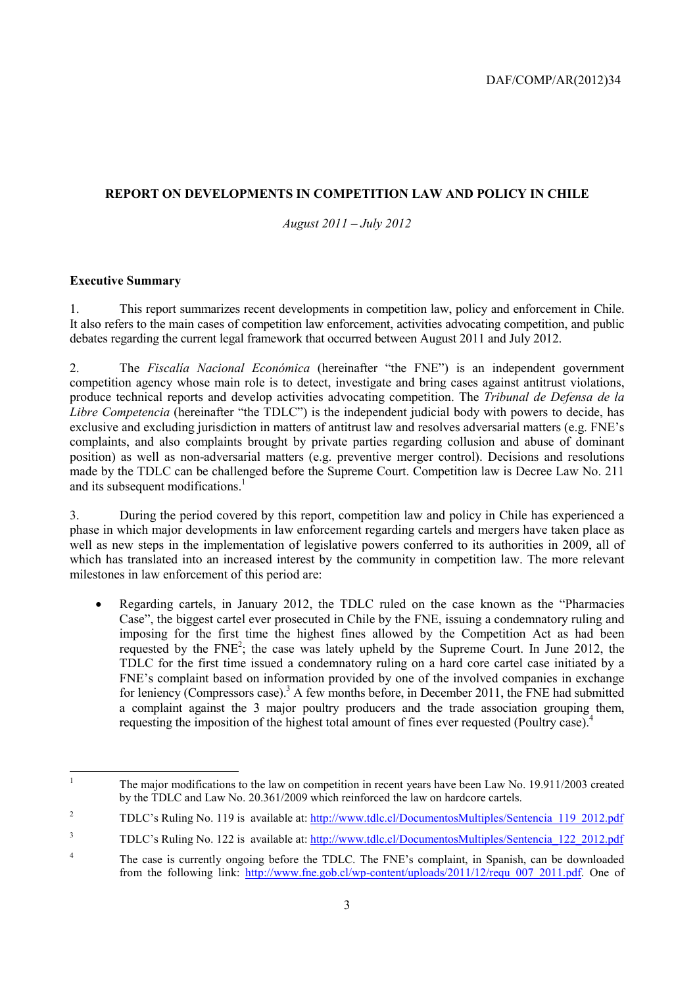## **REPORT ON DEVELOPMENTS IN COMPETITION LAW AND POLICY IN CHILE**

*August 2011 – July 2012*

#### **Executive Summary**

1. This report summarizes recent developments in competition law, policy and enforcement in Chile. It also refers to the main cases of competition law enforcement, activities advocating competition, and public debates regarding the current legal framework that occurred between August 2011 and July 2012.

2. The *Fiscalía Nacional Económica* (hereinafter "the FNE") is an independent government competition agency whose main role is to detect, investigate and bring cases against antitrust violations, produce technical reports and develop activities advocating competition. The *Tribunal de Defensa de la Libre Competencia* (hereinafter "the TDLC") is the independent judicial body with powers to decide, has exclusive and excluding jurisdiction in matters of antitrust law and resolves adversarial matters (e.g. FNE's complaints, and also complaints brought by private parties regarding collusion and abuse of dominant position) as well as non-adversarial matters (e.g. preventive merger control). Decisions and resolutions made by the TDLC can be challenged before the Supreme Court. Competition law is Decree Law No. 211 and its subsequent modifications.<sup>1</sup>

3. During the period covered by this report, competition law and policy in Chile has experienced a phase in which major developments in law enforcement regarding cartels and mergers have taken place as well as new steps in the implementation of legislative powers conferred to its authorities in 2009, all of which has translated into an increased interest by the community in competition law. The more relevant milestones in law enforcement of this period are:

• Regarding cartels, in January 2012, the TDLC ruled on the case known as the "Pharmacies Case", the biggest cartel ever prosecuted in Chile by the FNE, issuing a condemnatory ruling and imposing for the first time the highest fines allowed by the Competition Act as had been requested by the FNE<sup>2</sup>; the case was lately upheld by the Supreme Court. In June 2012, the TDLC for the first time issued a condemnatory ruling on a hard core cartel case initiated by a FNE's complaint based on information provided by one of the involved companies in exchange for leniency (Compressors case).<sup>3</sup> A few months before, in December 2011, the FNE had submitted a complaint against the 3 major poultry producers and the trade association grouping them, requesting the imposition of the highest total amount of fines ever requested (Poultry case).<sup>4</sup>

 $\frac{1}{1}$  The major modifications to the law on competition in recent years have been Law No. 19.911/2003 created by the TDLC and Law No. 20.361/2009 which reinforced the law on hardcore cartels.

 $\overline{2}$ TDLC's Ruling No. 119 is available at: http://www.tdlc.cl/DocumentosMultiples/Sentencia\_119\_2012.pdf

<sup>3</sup> TDLC's Ruling No. 122 is available at: http://www.tdlc.cl/DocumentosMultiples/Sentencia\_122\_2012.pdf

<sup>4</sup> The case is currently ongoing before the TDLC. The FNE's complaint, in Spanish, can be downloaded from the following link: http://www.fne.gob.cl/wp-content/uploads/2011/12/requ\_007\_2011.pdf. One of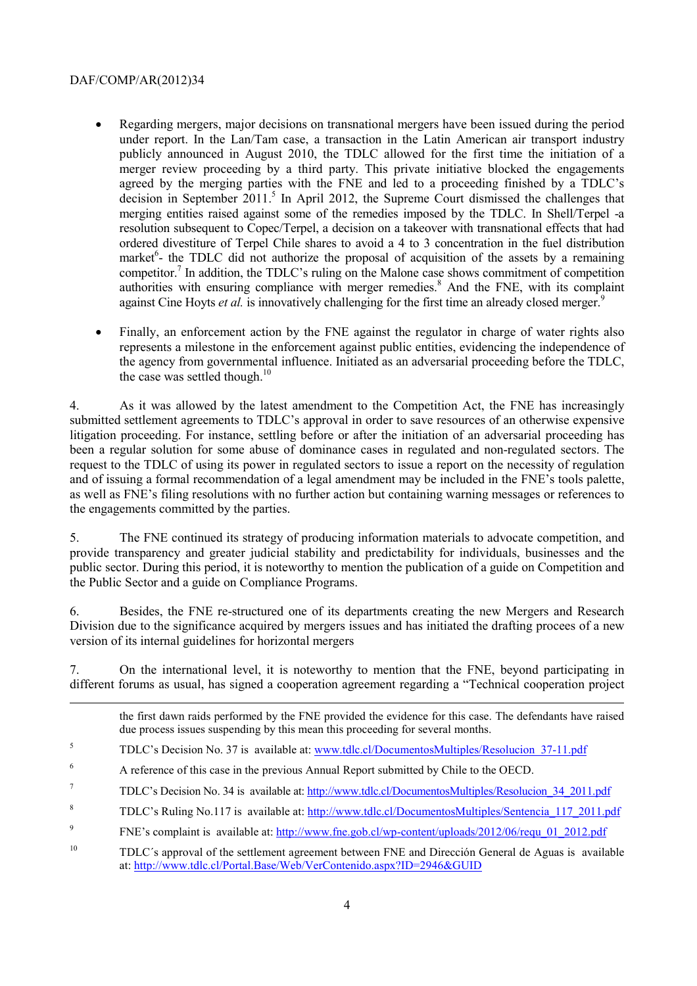-

- Regarding mergers, major decisions on transnational mergers have been issued during the period under report. In the Lan/Tam case, a transaction in the Latin American air transport industry publicly announced in August 2010, the TDLC allowed for the first time the initiation of a merger review proceeding by a third party. This private initiative blocked the engagements agreed by the merging parties with the FNE and led to a proceeding finished by a TDLC's decision in September 2011.<sup>5</sup> In April 2012, the Supreme Court dismissed the challenges that merging entities raised against some of the remedies imposed by the TDLC. In Shell/Terpel -a resolution subsequent to Copec/Terpel, a decision on a takeover with transnational effects that had ordered divestiture of Terpel Chile shares to avoid a 4 to 3 concentration in the fuel distribution market $6$ - the TDLC did not authorize the proposal of acquisition of the assets by a remaining competitor.<sup>7</sup> In addition, the TDLC's ruling on the Malone case shows commitment of competition authorities with ensuring compliance with merger remedies.<sup>8</sup> And the FNE, with its complaint against Cine Hoyts *et al.* is innovatively challenging for the first time an already closed merger.<sup>9</sup>
- Finally, an enforcement action by the FNE against the regulator in charge of water rights also represents a milestone in the enforcement against public entities, evidencing the independence of the agency from governmental influence. Initiated as an adversarial proceeding before the TDLC, the case was settled though. $10$

4. As it was allowed by the latest amendment to the Competition Act, the FNE has increasingly submitted settlement agreements to TDLC's approval in order to save resources of an otherwise expensive litigation proceeding. For instance, settling before or after the initiation of an adversarial proceeding has been a regular solution for some abuse of dominance cases in regulated and non-regulated sectors. The request to the TDLC of using its power in regulated sectors to issue a report on the necessity of regulation and of issuing a formal recommendation of a legal amendment may be included in the FNE's tools palette, as well as FNE's filing resolutions with no further action but containing warning messages or references to the engagements committed by the parties.

5. The FNE continued its strategy of producing information materials to advocate competition, and provide transparency and greater judicial stability and predictability for individuals, businesses and the public sector. During this period, it is noteworthy to mention the publication of a guide on Competition and the Public Sector and a guide on Compliance Programs.

6. Besides, the FNE re-structured one of its departments creating the new Mergers and Research Division due to the significance acquired by mergers issues and has initiated the drafting procees of a new version of its internal guidelines for horizontal mergers

7. On the international level, it is noteworthy to mention that the FNE, beyond participating in different forums as usual, has signed a cooperation agreement regarding a "Technical cooperation project

the first dawn raids performed by the FNE provided the evidence for this case. The defendants have raised due process issues suspending by this mean this proceeding for several months.

- 5 TDLC's Decision No. 37 is available at: www.tdlc.cl/DocumentosMultiples/Resolucion\_37-11.pdf
- 6 A reference of this case in the previous Annual Report submitted by Chile to the OECD.
- 7 TDLC's Decision No. 34 is available at: http://www.tdlc.cl/DocumentosMultiples/Resolucion\_34\_2011.pdf
- 8 TDLC's Ruling No.117 is available at: http://www.tdlc.cl/DocumentosMultiples/Sentencia\_117\_2011.pdf
- 9 FNE's complaint is available at: http://www.fne.gob.cl/wp-content/uploads/2012/06/requ\_01\_2012.pdf

<sup>10</sup> TDLC´s approval of the settlement agreement between FNE and Dirección General de Aguas is available at: http://www.tdlc.cl/Portal.Base/Web/VerContenido.aspx?ID=2946&GUID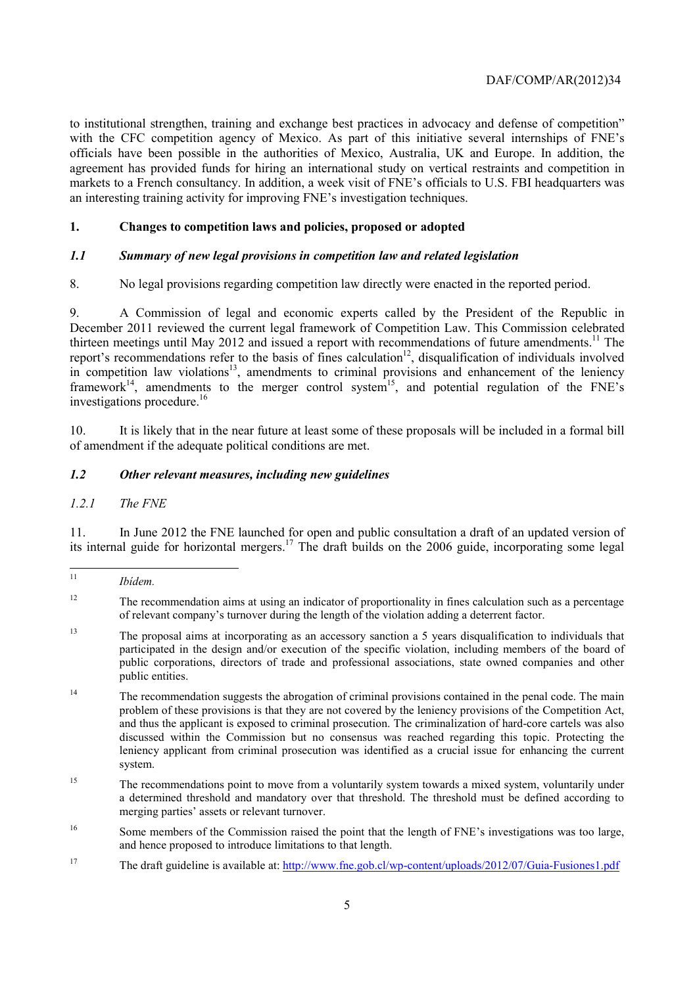to institutional strengthen, training and exchange best practices in advocacy and defense of competition" with the CFC competition agency of Mexico. As part of this initiative several internships of FNE's officials have been possible in the authorities of Mexico, Australia, UK and Europe. In addition, the agreement has provided funds for hiring an international study on vertical restraints and competition in markets to a French consultancy. In addition, a week visit of FNE's officials to U.S. FBI headquarters was an interesting training activity for improving FNE's investigation techniques.

## **1. Changes to competition laws and policies, proposed or adopted**

## *1.1 Summary of new legal provisions in competition law and related legislation*

8. No legal provisions regarding competition law directly were enacted in the reported period.

9. A Commission of legal and economic experts called by the President of the Republic in December 2011 reviewed the current legal framework of Competition Law. This Commission celebrated thirteen meetings until May 2012 and issued a report with recommendations of future amendments.<sup>11</sup> The report's recommendations refer to the basis of fines calculation<sup>12</sup>, disqualification of individuals involved in competition law violations<sup>13</sup>, amendments to criminal provisions and enhancement of the leniency framework<sup>14</sup>, amendments to the merger control system<sup>15</sup>, and potential regulation of the FNE's investigations procedure.<sup>16</sup>

10. It is likely that in the near future at least some of these proposals will be included in a formal bill of amendment if the adequate political conditions are met.

## *1.2 Other relevant measures, including new guidelines*

*1.2.1 The FNE* 

11. In June 2012 the FNE launched for open and public consultation a draft of an updated version of its internal guide for horizontal mergers.<sup>17</sup> The draft builds on the 2006 guide, incorporating some legal

- <sup>13</sup> The proposal aims at incorporating as an accessory sanction a 5 years disqualification to individuals that participated in the design and/or execution of the specific violation, including members of the board of public corporations, directors of trade and professional associations, state owned companies and other public entities.
- <sup>14</sup> The recommendation suggests the abrogation of criminal provisions contained in the penal code. The main problem of these provisions is that they are not covered by the leniency provisions of the Competition Act, and thus the applicant is exposed to criminal prosecution. The criminalization of hard-core cartels was also discussed within the Commission but no consensus was reached regarding this topic. Protecting the leniency applicant from criminal prosecution was identified as a crucial issue for enhancing the current system.
- <sup>15</sup> The recommendations point to move from a voluntarily system towards a mixed system, voluntarily under a determined threshold and mandatory over that threshold. The threshold must be defined according to merging parties' assets or relevant turnover.
- <sup>16</sup> Some members of the Commission raised the point that the length of FNE's investigations was too large, and hence proposed to introduce limitations to that length.
- <sup>17</sup> The draft guideline is available at: http://www.fne.gob.cl/wp-content/uploads/2012/07/Guia-Fusiones1.pdf

 $\overline{11}$ 11 *Ibídem.*

<sup>&</sup>lt;sup>12</sup> The recommendation aims at using an indicator of proportionality in fines calculation such as a percentage of relevant company's turnover during the length of the violation adding a deterrent factor.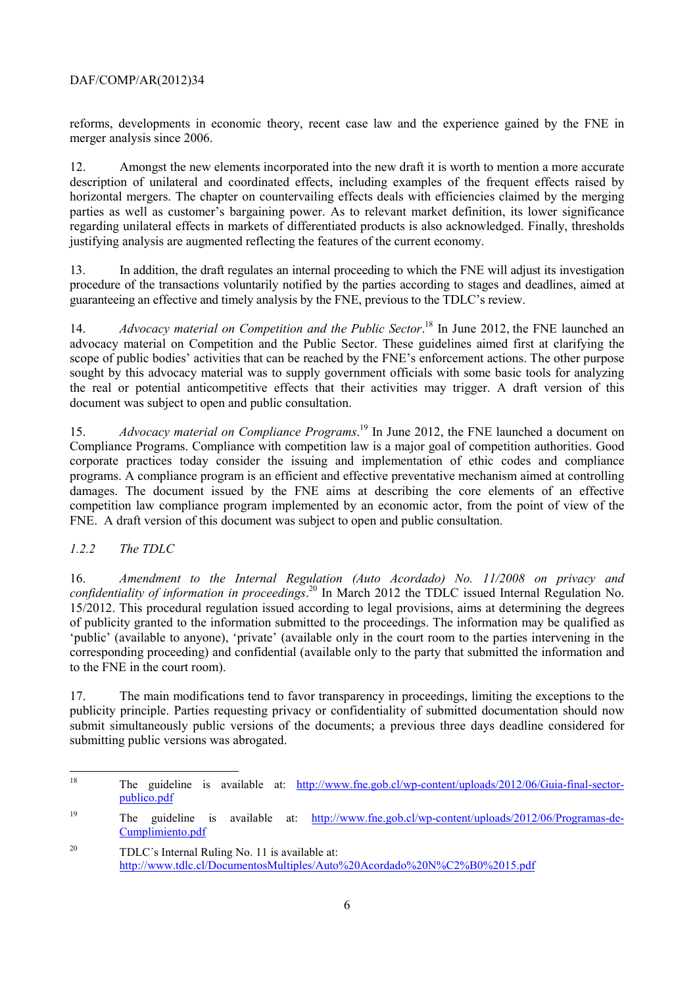reforms, developments in economic theory, recent case law and the experience gained by the FNE in merger analysis since 2006.

12. Amongst the new elements incorporated into the new draft it is worth to mention a more accurate description of unilateral and coordinated effects, including examples of the frequent effects raised by horizontal mergers. The chapter on countervailing effects deals with efficiencies claimed by the merging parties as well as customer's bargaining power. As to relevant market definition, its lower significance regarding unilateral effects in markets of differentiated products is also acknowledged. Finally, thresholds justifying analysis are augmented reflecting the features of the current economy.

13. In addition, the draft regulates an internal proceeding to which the FNE will adjust its investigation procedure of the transactions voluntarily notified by the parties according to stages and deadlines, aimed at guaranteeing an effective and timely analysis by the FNE, previous to the TDLC's review.

14. *Advocacy material on Competition and the Public Sector*. 18 In June 2012, the FNE launched an advocacy material on Competition and the Public Sector. These guidelines aimed first at clarifying the scope of public bodies' activities that can be reached by the FNE's enforcement actions. The other purpose sought by this advocacy material was to supply government officials with some basic tools for analyzing the real or potential anticompetitive effects that their activities may trigger. A draft version of this document was subject to open and public consultation.

15. *Advocacy material on Compliance Programs*. 19 In June 2012, the FNE launched a document on Compliance Programs. Compliance with competition law is a major goal of competition authorities. Good corporate practices today consider the issuing and implementation of ethic codes and compliance programs. A compliance program is an efficient and effective preventative mechanism aimed at controlling damages. The document issued by the FNE aims at describing the core elements of an effective competition law compliance program implemented by an economic actor, from the point of view of the FNE. A draft version of this document was subject to open and public consultation.

## *1.2.2 The TDLC*

16. *Amendment to the Internal Regulation (Auto Acordado) No. 11/2008 on privacy and confidentiality of information in proceedings*. 20 In March 2012 the TDLC issued Internal Regulation No. 15/2012. This procedural regulation issued according to legal provisions, aims at determining the degrees of publicity granted to the information submitted to the proceedings. The information may be qualified as 'public' (available to anyone), 'private' (available only in the court room to the parties intervening in the corresponding proceeding) and confidential (available only to the party that submitted the information and to the FNE in the court room).

17. The main modifications tend to favor transparency in proceedings, limiting the exceptions to the publicity principle. Parties requesting privacy or confidentiality of submitted documentation should now submit simultaneously public versions of the documents; a previous three days deadline considered for submitting public versions was abrogated.

<sup>18</sup> The guideline is available at: http://www.fne.gob.cl/wp-content/uploads/2012/06/Guia-final-sectorpublico.pdf

<sup>&</sup>lt;sup>19</sup> The guideline is available at: http://www.fne.gob.cl/wp-content/uploads/2012/06/Programas-de-Cumplimiento.pdf

<sup>&</sup>lt;sup>20</sup> TDLC's Internal Ruling No. 11 is available at: http://www.tdlc.cl/DocumentosMultiples/Auto%20Acordado%20N%C2%B0%2015.pdf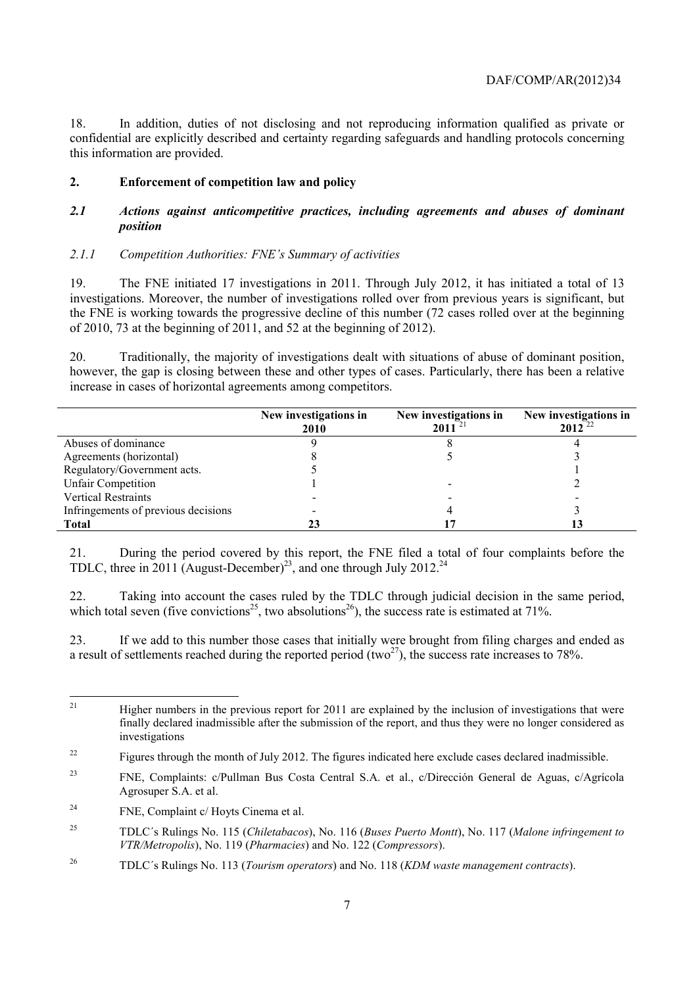18. In addition, duties of not disclosing and not reproducing information qualified as private or confidential are explicitly described and certainty regarding safeguards and handling protocols concerning this information are provided.

## **2. Enforcement of competition law and policy**

#### *2.1 Actions against anticompetitive practices, including agreements and abuses of dominant position*

#### *2.1.1 Competition Authorities: FNE's Summary of activities*

19. The FNE initiated 17 investigations in 2011. Through July 2012, it has initiated a total of 13 investigations. Moreover, the number of investigations rolled over from previous years is significant, but the FNE is working towards the progressive decline of this number (72 cases rolled over at the beginning of 2010, 73 at the beginning of  $2011$ , and 52 at the beginning of 2012).

20. Traditionally, the majority of investigations dealt with situations of abuse of dominant position, however, the gap is closing between these and other types of cases. Particularly, there has been a relative increase in cases of horizontal agreements among competitors.

|                                     | New investigations in<br><b>2010</b> | New investigations in<br>2011 | New investigations in<br>$2012^{22}$ |
|-------------------------------------|--------------------------------------|-------------------------------|--------------------------------------|
| Abuses of dominance                 |                                      |                               |                                      |
| Agreements (horizontal)             |                                      |                               |                                      |
| Regulatory/Government acts.         |                                      |                               |                                      |
| <b>Unfair Competition</b>           |                                      |                               |                                      |
| <b>Vertical Restraints</b>          |                                      |                               |                                      |
| Infringements of previous decisions |                                      |                               |                                      |
| Total                               |                                      |                               |                                      |

21. During the period covered by this report, the FNE filed a total of four complaints before the TDLC, three in 2011 (August-December)<sup>23</sup>, and one through July 2012.<sup>24</sup>

22. Taking into account the cases ruled by the TDLC through judicial decision in the same period, which total seven (five convictions<sup>25</sup>, two absolutions<sup>26</sup>), the success rate is estimated at 71%.

23. If we add to this number those cases that initially were brought from filing charges and ended as a result of settlements reached during the reported period  $(two^{27})$ , the success rate increases to 78%.

 $21$ 21 Higher numbers in the previous report for 2011 are explained by the inclusion of investigations that were finally declared inadmissible after the submission of the report, and thus they were no longer considered as investigations

<sup>&</sup>lt;sup>22</sup> Figures through the month of July 2012. The figures indicated here exclude cases declared inadmissible.

<sup>23</sup> FNE, Complaints: c/Pullman Bus Costa Central S.A. et al., c/Dirección General de Aguas, c/Agrícola Agrosuper S.A. et al.

<sup>&</sup>lt;sup>24</sup> FNE, Complaint c/ Hoyts Cinema et al.

<sup>25</sup> TDLC´s Rulings No. 115 (*Chiletabacos*), No. 116 (*Buses Puerto Montt*), No. 117 (*Malone infringement to VTR/Metropolis*), No. 119 (*Pharmacies*) and No. 122 (*Compressors*).

<sup>26</sup> TDLC´s Rulings No. 113 (*Tourism operators*) and No. 118 (*KDM waste management contracts*).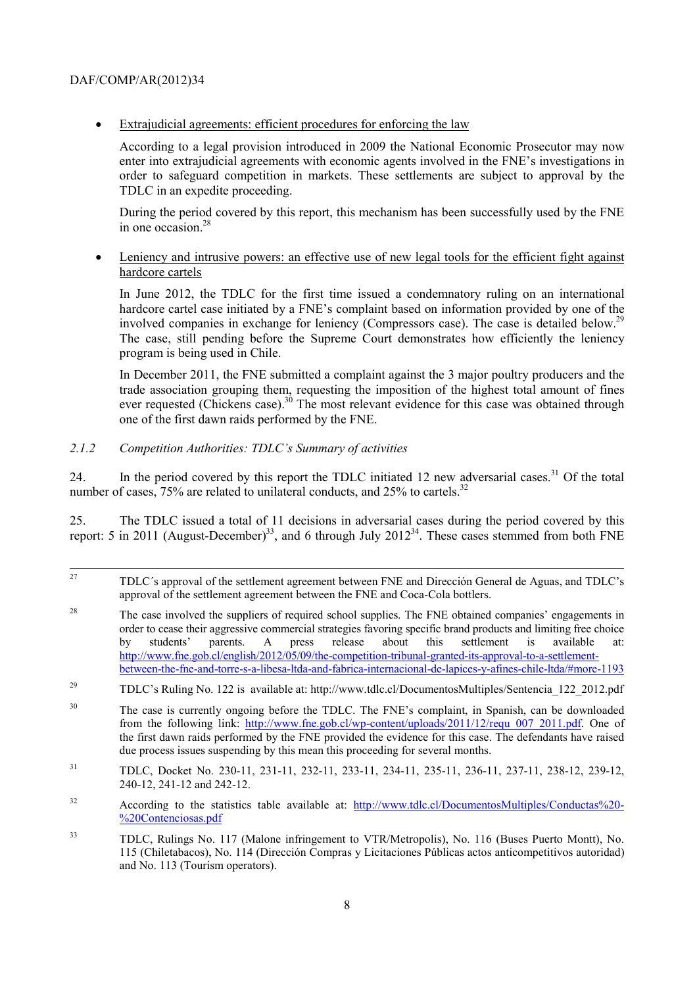• Extrajudicial agreements: efficient procedures for enforcing the law

According to a legal provision introduced in 2009 the National Economic Prosecutor may now enter into extrajudicial agreements with economic agents involved in the FNE's investigations in order to safeguard competition in markets. These settlements are subject to approval by the TDLC in an expedite proceeding.

During the period covered by this report, this mechanism has been successfully used by the FNE in one occasion  $28$ 

• Leniency and intrusive powers: an effective use of new legal tools for the efficient fight against hardcore cartels

In June 2012, the TDLC for the first time issued a condemnatory ruling on an international hardcore cartel case initiated by a FNE's complaint based on information provided by one of the involved companies in exchange for leniency (Compressors case). The case is detailed below.29 The case, still pending before the Supreme Court demonstrates how efficiently the leniency program is being used in Chile.

In December 2011, the FNE submitted a complaint against the 3 major poultry producers and the trade association grouping them, requesting the imposition of the highest total amount of fines ever requested (Chickens case).<sup>30</sup> The most relevant evidence for this case was obtained through one of the first dawn raids performed by the FNE.

## *2.1.2 Competition Authorities: TDLC's Summary of activities*

24. In the period covered by this report the TDLC initiated 12 new adversarial cases.<sup>31</sup> Of the total number of cases,  $75\%$  are related to unilateral conducts, and  $25\%$  to cartels.<sup>32</sup>

25. The TDLC issued a total of 11 decisions in adversarial cases during the period covered by this report: 5 in 2011 (August-December)<sup>33</sup>, and 6 through July 2012<sup>34</sup>. These cases stemmed from both FNE

- <sup>28</sup> The case involved the suppliers of required school supplies. The FNE obtained companies' engagements in order to cease their aggressive commercial strategies favoring specific brand products and limiting free choice<br>by students' parents. A press release about this settlement is available at: by students' parents. A press release about this settlement is available at: http://www.fne.gob.cl/english/2012/05/09/the-competition-tribunal-granted-its-approval-to-a-settlementbetween-the-fne-and-torre-s-a-libesa-ltda-and-fabrica-internacional-de-lapices-y-afines-chile-ltda/#more-1193
- <sup>29</sup> TDLC's Ruling No. 122 is available at: http://www.tdlc.cl/DocumentosMultiples/Sentencia\_122\_2012.pdf
- <sup>30</sup> The case is currently ongoing before the TDLC. The FNE's complaint, in Spanish, can be downloaded from the following link: http://www.fne.gob.cl/wp-content/uploads/2011/12/requ\_007\_2011.pdf. One of the first dawn raids performed by the FNE provided the evidence for this case. The defendants have raised due process issues suspending by this mean this proceeding for several months.
- 31 TDLC, Docket No. 230-11, 231-11, 232-11, 233-11, 234-11, 235-11, 236-11, 237-11, 238-12, 239-12, 240-12, 241-12 and 242-12.
- <sup>32</sup> According to the statistics table available at: http://www.tdlc.cl/DocumentosMultiples/Conductas%20-%20Contenciosas.pdf
- 33 TDLC, Rulings No. 117 (Malone infringement to VTR/Metropolis), No. 116 (Buses Puerto Montt), No. 115 (Chiletabacos), No. 114 (Dirección Compras y Licitaciones Públicas actos anticompetitivos autoridad) and No. 113 (Tourism operators).

 <sup>27</sup> TDLC´s approval of the settlement agreement between FNE and Dirección General de Aguas, and TDLC's approval of the settlement agreement between the FNE and Coca-Cola bottlers.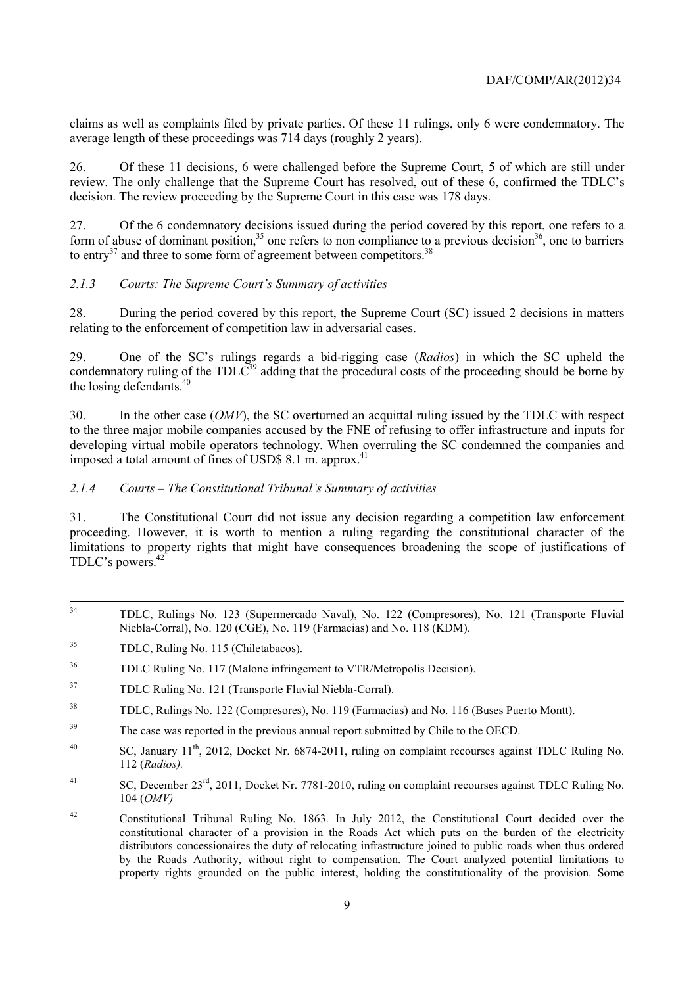claims as well as complaints filed by private parties. Of these 11 rulings, only 6 were condemnatory. The average length of these proceedings was 714 days (roughly 2 years).

26. Of these 11 decisions, 6 were challenged before the Supreme Court, 5 of which are still under review. The only challenge that the Supreme Court has resolved, out of these 6, confirmed the TDLC's decision. The review proceeding by the Supreme Court in this case was 178 days.

27. Of the 6 condemnatory decisions issued during the period covered by this report, one refers to a form of abuse of dominant position,<sup>35</sup> one refers to non compliance to a previous decision<sup>36</sup>, one to barriers to entry<sup>37</sup> and three to some form of agreement between competitors.<sup>38</sup>

## *2.1.3 Courts: The Supreme Court's Summary of activities*

28. During the period covered by this report, the Supreme Court (SC) issued 2 decisions in matters relating to the enforcement of competition law in adversarial cases.

29. One of the SC's rulings regards a bid-rigging case (*Radios*) in which the SC upheld the condemnatory ruling of the  $TDL<sup>39</sup>$  adding that the procedural costs of the proceeding should be borne by the losing defendants.<sup>40</sup>

30. In the other case (*OMV*), the SC overturned an acquittal ruling issued by the TDLC with respect to the three major mobile companies accused by the FNE of refusing to offer infrastructure and inputs for developing virtual mobile operators technology. When overruling the SC condemned the companies and imposed a total amount of fines of USD\$  $8.1$  m. approx.<sup>41</sup>

#### *2.1.4 Courts – The Constitutional Tribunal's Summary of activities*

31. The Constitutional Court did not issue any decision regarding a competition law enforcement proceeding. However, it is worth to mention a ruling regarding the constitutional character of the limitations to property rights that might have consequences broadening the scope of justifications of TDLC's powers.<sup>42</sup>

- 34 TDLC, Rulings No. 123 (Supermercado Naval), No. 122 (Compresores), No. 121 (Transporte Fluvial Niebla-Corral), No. 120 (CGE), No. 119 (Farmacias) and No. 118 (KDM).
- 35 TDLC, Ruling No. 115 (Chiletabacos).

- 37 TDLC Ruling No. 121 (Transporte Fluvial Niebla-Corral).
- 38 TDLC, Rulings No. 122 (Compresores), No. 119 (Farmacias) and No. 116 (Buses Puerto Montt).
- <sup>39</sup> The case was reported in the previous annual report submitted by Chile to the OECD.
- <sup>40</sup> SC, January 11<sup>th</sup>, 2012, Docket Nr. 6874-2011, ruling on complaint recourses against TDLC Ruling No. 112 (*Radios).*
- <sup>41</sup> SC, December 23<sup>rd</sup>, 2011, Docket Nr. 7781-2010, ruling on complaint recourses against TDLC Ruling No. 104 (*OMV)*
- 42 Constitutional Tribunal Ruling No. 1863. In July 2012, the Constitutional Court decided over the constitutional character of a provision in the Roads Act which puts on the burden of the electricity distributors concessionaires the duty of relocating infrastructure joined to public roads when thus ordered by the Roads Authority, without right to compensation. The Court analyzed potential limitations to property rights grounded on the public interest, holding the constitutionality of the provision. Some

<sup>36</sup> TDLC Ruling No. 117 (Malone infringement to VTR/Metropolis Decision).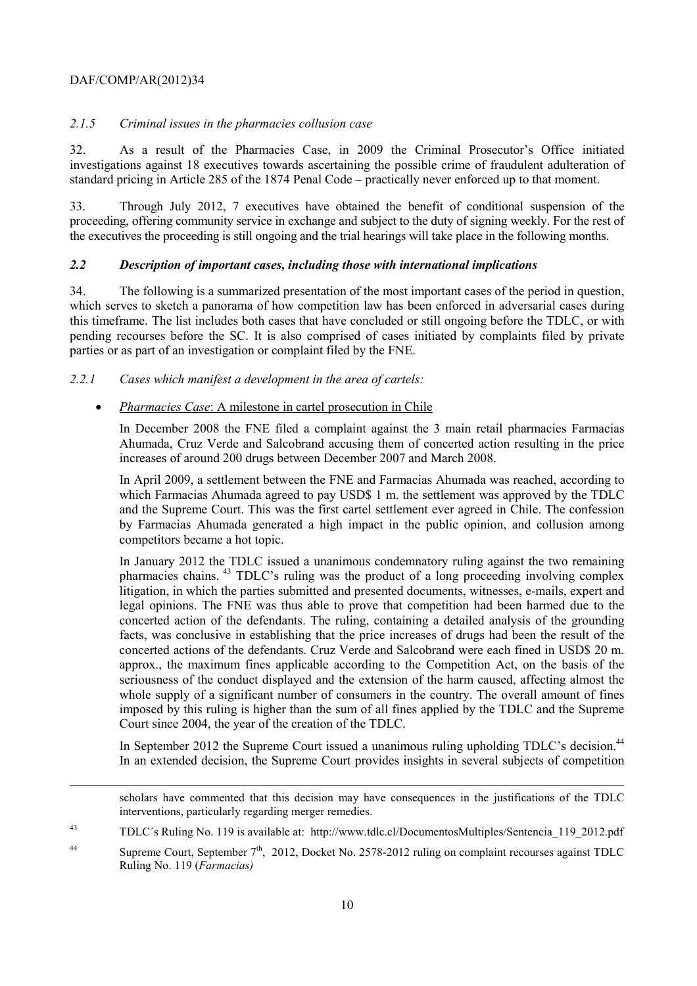1

## *2.1.5 Criminal issues in the pharmacies collusion case*

32. As a result of the Pharmacies Case, in 2009 the Criminal Prosecutor's Office initiated investigations against 18 executives towards ascertaining the possible crime of fraudulent adulteration of standard pricing in Article 285 of the 1874 Penal Code – practically never enforced up to that moment.

33. Through July 2012, 7 executives have obtained the benefit of conditional suspension of the proceeding, offering community service in exchange and subject to the duty of signing weekly. For the rest of the executives the proceeding is still ongoing and the trial hearings will take place in the following months.

## *2.2 Description of important cases, including those with international implications*

34. The following is a summarized presentation of the most important cases of the period in question, which serves to sketch a panorama of how competition law has been enforced in adversarial cases during this timeframe. The list includes both cases that have concluded or still ongoing before the TDLC, or with pending recourses before the SC. It is also comprised of cases initiated by complaints filed by private parties or as part of an investigation or complaint filed by the FNE.

## *2.2.1 Cases which manifest a development in the area of cartels:*

## • *Pharmacies Case*: A milestone in cartel prosecution in Chile

In December 2008 the FNE filed a complaint against the 3 main retail pharmacies Farmacias Ahumada, Cruz Verde and Salcobrand accusing them of concerted action resulting in the price increases of around 200 drugs between December 2007 and March 2008.

In April 2009, a settlement between the FNE and Farmacias Ahumada was reached, according to which Farmacias Ahumada agreed to pay USD\$ 1 m. the settlement was approved by the TDLC and the Supreme Court. This was the first cartel settlement ever agreed in Chile. The confession by Farmacias Ahumada generated a high impact in the public opinion, and collusion among competitors became a hot topic.

In January 2012 the TDLC issued a unanimous condemnatory ruling against the two remaining pharmacies chains. 43 TDLC's ruling was the product of a long proceeding involving complex litigation, in which the parties submitted and presented documents, witnesses, e-mails, expert and legal opinions. The FNE was thus able to prove that competition had been harmed due to the concerted action of the defendants. The ruling, containing a detailed analysis of the grounding facts, was conclusive in establishing that the price increases of drugs had been the result of the concerted actions of the defendants. Cruz Verde and Salcobrand were each fined in USD\$ 20 m. approx., the maximum fines applicable according to the Competition Act, on the basis of the seriousness of the conduct displayed and the extension of the harm caused, affecting almost the whole supply of a significant number of consumers in the country. The overall amount of fines imposed by this ruling is higher than the sum of all fines applied by the TDLC and the Supreme Court since 2004, the year of the creation of the TDLC.

In September 2012 the Supreme Court issued a unanimous ruling upholding TDLC's decision.<sup>44</sup> In an extended decision, the Supreme Court provides insights in several subjects of competition

scholars have commented that this decision may have consequences in the justifications of the TDLC interventions, particularly regarding merger remedies.

<sup>43</sup> TDLC´s Ruling No. 119 is available at: http://www.tdlc.cl/DocumentosMultiples/Sentencia\_119\_2012.pdf

<sup>&</sup>lt;sup>44</sup> Supreme Court, September 7<sup>th</sup>, 2012, Docket No. 2578-2012 ruling on complaint recourses against TDLC Ruling No. 119 (*Farmacias)*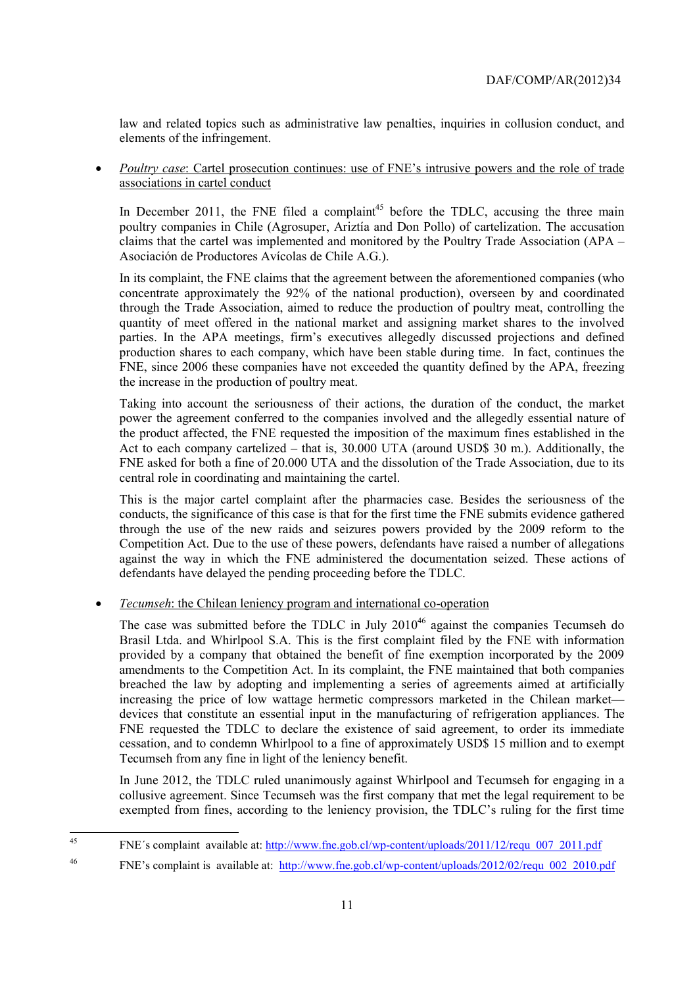law and related topics such as administrative law penalties, inquiries in collusion conduct, and elements of the infringement.

• *Poultry case*: Cartel prosecution continues: use of FNE's intrusive powers and the role of trade associations in cartel conduct

In December 2011, the FNE filed a complaint<sup>45</sup> before the TDLC, accusing the three main poultry companies in Chile (Agrosuper, Ariztía and Don Pollo) of cartelization. The accusation claims that the cartel was implemented and monitored by the Poultry Trade Association (APA – Asociación de Productores Avícolas de Chile A.G.).

In its complaint, the FNE claims that the agreement between the aforementioned companies (who concentrate approximately the 92% of the national production), overseen by and coordinated through the Trade Association, aimed to reduce the production of poultry meat, controlling the quantity of meet offered in the national market and assigning market shares to the involved parties. In the APA meetings, firm's executives allegedly discussed projections and defined production shares to each company, which have been stable during time. In fact, continues the FNE, since 2006 these companies have not exceeded the quantity defined by the APA, freezing the increase in the production of poultry meat.

Taking into account the seriousness of their actions, the duration of the conduct, the market power the agreement conferred to the companies involved and the allegedly essential nature of the product affected, the FNE requested the imposition of the maximum fines established in the Act to each company cartelized – that is, 30.000 UTA (around USD\$ 30 m.). Additionally, the FNE asked for both a fine of 20.000 UTA and the dissolution of the Trade Association, due to its central role in coordinating and maintaining the cartel.

This is the major cartel complaint after the pharmacies case. Besides the seriousness of the conducts, the significance of this case is that for the first time the FNE submits evidence gathered through the use of the new raids and seizures powers provided by the 2009 reform to the Competition Act. Due to the use of these powers, defendants have raised a number of allegations against the way in which the FNE administered the documentation seized. These actions of defendants have delayed the pending proceeding before the TDLC.

• *Tecumseh*: the Chilean leniency program and international co-operation

The case was submitted before the TDLC in July  $2010^{46}$  against the companies Tecumseh do Brasil Ltda. and Whirlpool S.A. This is the first complaint filed by the FNE with information provided by a company that obtained the benefit of fine exemption incorporated by the 2009 amendments to the Competition Act. In its complaint, the FNE maintained that both companies breached the law by adopting and implementing a series of agreements aimed at artificially increasing the price of low wattage hermetic compressors marketed in the Chilean market devices that constitute an essential input in the manufacturing of refrigeration appliances. The FNE requested the TDLC to declare the existence of said agreement, to order its immediate cessation, and to condemn Whirlpool to a fine of approximately USD\$ 15 million and to exempt Tecumseh from any fine in light of the leniency benefit.

In June 2012, the TDLC ruled unanimously against Whirlpool and Tecumseh for engaging in a collusive agreement. Since Tecumseh was the first company that met the legal requirement to be exempted from fines, according to the leniency provision, the TDLC's ruling for the first time

 $\overline{45}$ 45 FNE´s complaint available at: http://www.fne.gob.cl/wp-content/uploads/2011/12/requ\_007\_2011.pdf

<sup>&</sup>lt;sup>46</sup> FNE's complaint is available at: http://www.fne.gob.cl/wp-content/uploads/2012/02/requ\_002\_2010.pdf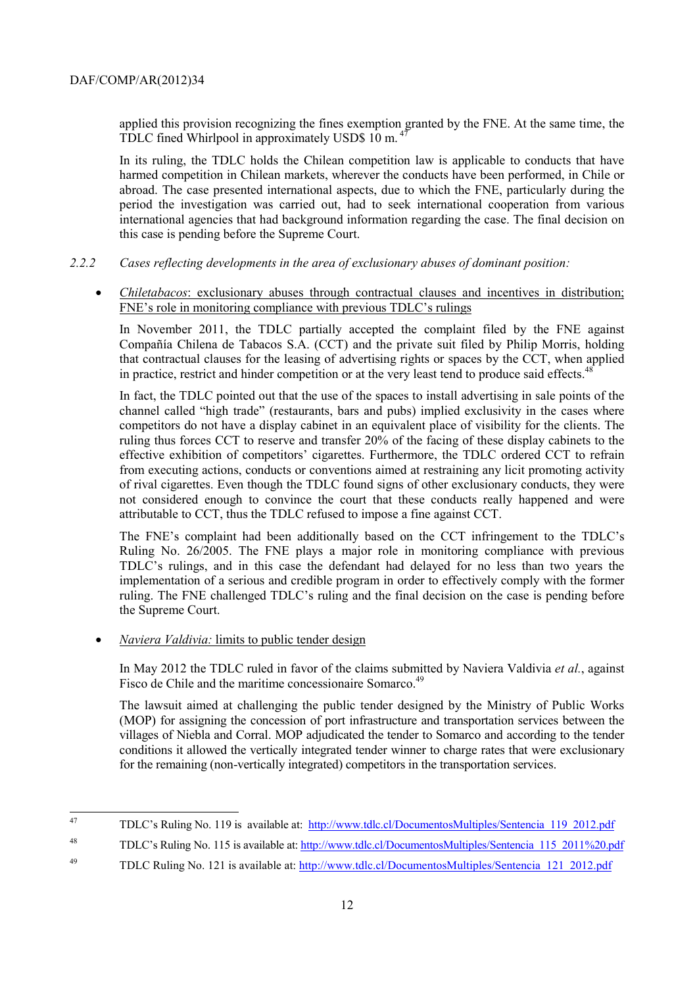applied this provision recognizing the fines exemption granted by the FNE. At the same time, the TDLC fined Whirlpool in approximately USD\$ 10 m.<sup>4</sup>

In its ruling, the TDLC holds the Chilean competition law is applicable to conducts that have harmed competition in Chilean markets, wherever the conducts have been performed, in Chile or abroad. The case presented international aspects, due to which the FNE, particularly during the period the investigation was carried out, had to seek international cooperation from various international agencies that had background information regarding the case. The final decision on this case is pending before the Supreme Court.

- *2.2.2 Cases reflecting developments in the area of exclusionary abuses of dominant position:* 
	- *Chiletabacos*: exclusionary abuses through contractual clauses and incentives in distribution; FNE's role in monitoring compliance with previous TDLC's rulings

In November 2011, the TDLC partially accepted the complaint filed by the FNE against Compañía Chilena de Tabacos S.A. (CCT) and the private suit filed by Philip Morris, holding that contractual clauses for the leasing of advertising rights or spaces by the CCT, when applied in practice, restrict and hinder competition or at the very least tend to produce said effects. $48$ 

In fact, the TDLC pointed out that the use of the spaces to install advertising in sale points of the channel called "high trade" (restaurants, bars and pubs) implied exclusivity in the cases where competitors do not have a display cabinet in an equivalent place of visibility for the clients. The ruling thus forces CCT to reserve and transfer 20% of the facing of these display cabinets to the effective exhibition of competitors' cigarettes. Furthermore, the TDLC ordered CCT to refrain from executing actions, conducts or conventions aimed at restraining any licit promoting activity of rival cigarettes. Even though the TDLC found signs of other exclusionary conducts, they were not considered enough to convince the court that these conducts really happened and were attributable to CCT, thus the TDLC refused to impose a fine against CCT.

The FNE's complaint had been additionally based on the CCT infringement to the TDLC's Ruling No. 26/2005. The FNE plays a major role in monitoring compliance with previous TDLC's rulings, and in this case the defendant had delayed for no less than two years the implementation of a serious and credible program in order to effectively comply with the former ruling. The FNE challenged TDLC's ruling and the final decision on the case is pending before the Supreme Court.

• *Naviera Valdivia:* limits to public tender design

In May 2012 the TDLC ruled in favor of the claims submitted by Naviera Valdivia *et al.*, against Fisco de Chile and the maritime concessionaire Somarco.<sup>49</sup>

The lawsuit aimed at challenging the public tender designed by the Ministry of Public Works (MOP) for assigning the concession of port infrastructure and transportation services between the villages of Niebla and Corral. MOP adjudicated the tender to Somarco and according to the tender conditions it allowed the vertically integrated tender winner to charge rates that were exclusionary for the remaining (non-vertically integrated) competitors in the transportation services.

<sup>47</sup> 47 TDLC's Ruling No. 119 is available at: http://www.tdlc.cl/DocumentosMultiples/Sentencia\_119\_2012.pdf

<sup>&</sup>lt;sup>48</sup> TDLC's Ruling No. 115 is available at: http://www.tdlc.cl/DocumentosMultiples/Sentencia\_115\_2011%20.pdf

<sup>&</sup>lt;sup>49</sup> TDLC Ruling No. 121 is available at: http://www.tdlc.cl/DocumentosMultiples/Sentencia 121 2012.pdf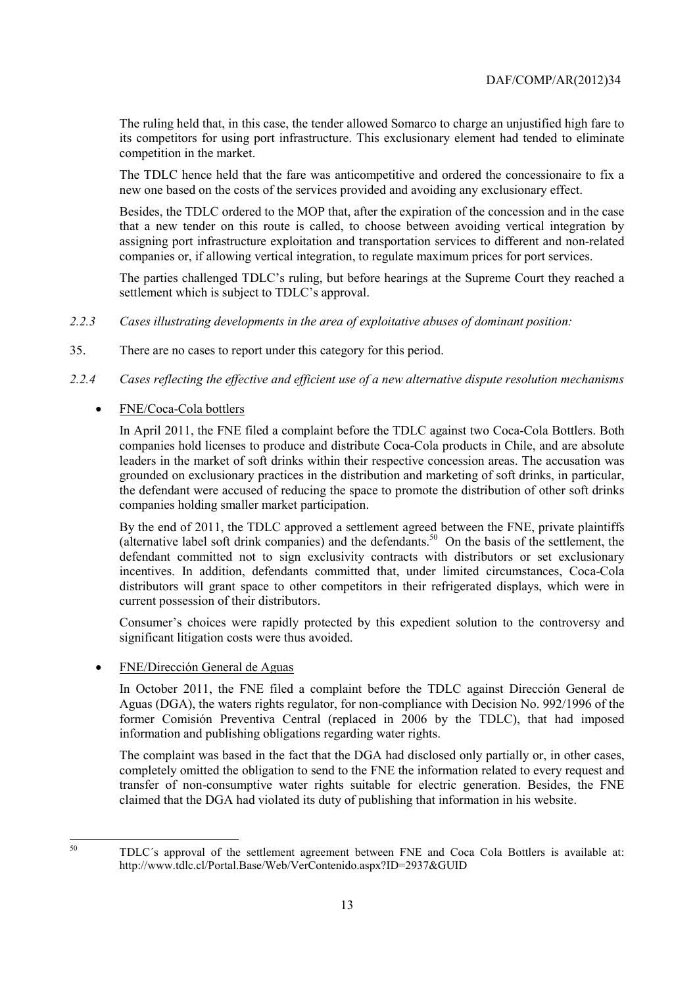The ruling held that, in this case, the tender allowed Somarco to charge an unjustified high fare to its competitors for using port infrastructure. This exclusionary element had tended to eliminate competition in the market.

The TDLC hence held that the fare was anticompetitive and ordered the concessionaire to fix a new one based on the costs of the services provided and avoiding any exclusionary effect.

Besides, the TDLC ordered to the MOP that, after the expiration of the concession and in the case that a new tender on this route is called, to choose between avoiding vertical integration by assigning port infrastructure exploitation and transportation services to different and non-related companies or, if allowing vertical integration, to regulate maximum prices for port services.

The parties challenged TDLC's ruling, but before hearings at the Supreme Court they reached a settlement which is subject to TDLC's approval.

- *2.2.3 Cases illustrating developments in the area of exploitative abuses of dominant position:*
- 35. There are no cases to report under this category for this period.
- *2.2.4 Cases reflecting the effective and efficient use of a new alternative dispute resolution mechanisms*

## • FNE/Coca-Cola bottlers

In April 2011, the FNE filed a complaint before the TDLC against two Coca-Cola Bottlers. Both companies hold licenses to produce and distribute Coca-Cola products in Chile, and are absolute leaders in the market of soft drinks within their respective concession areas. The accusation was grounded on exclusionary practices in the distribution and marketing of soft drinks, in particular, the defendant were accused of reducing the space to promote the distribution of other soft drinks companies holding smaller market participation.

By the end of 2011, the TDLC approved a settlement agreed between the FNE, private plaintiffs (alternative label soft drink companies) and the defendants.50 On the basis of the settlement, the defendant committed not to sign exclusivity contracts with distributors or set exclusionary incentives. In addition, defendants committed that, under limited circumstances, Coca-Cola distributors will grant space to other competitors in their refrigerated displays, which were in current possession of their distributors.

Consumer's choices were rapidly protected by this expedient solution to the controversy and significant litigation costs were thus avoided.

• FNE/Dirección General de Aguas

In October 2011, the FNE filed a complaint before the TDLC against Dirección General de Aguas (DGA), the waters rights regulator, for non-compliance with Decision No. 992/1996 of the former Comisión Preventiva Central (replaced in 2006 by the TDLC), that had imposed information and publishing obligations regarding water rights.

The complaint was based in the fact that the DGA had disclosed only partially or, in other cases, completely omitted the obligation to send to the FNE the information related to every request and transfer of non-consumptive water rights suitable for electric generation. Besides, the FNE claimed that the DGA had violated its duty of publishing that information in his website.

50

<sup>50</sup> TDLC´s approval of the settlement agreement between FNE and Coca Cola Bottlers is available at: http://www.tdlc.cl/Portal.Base/Web/VerContenido.aspx?ID=2937&GUID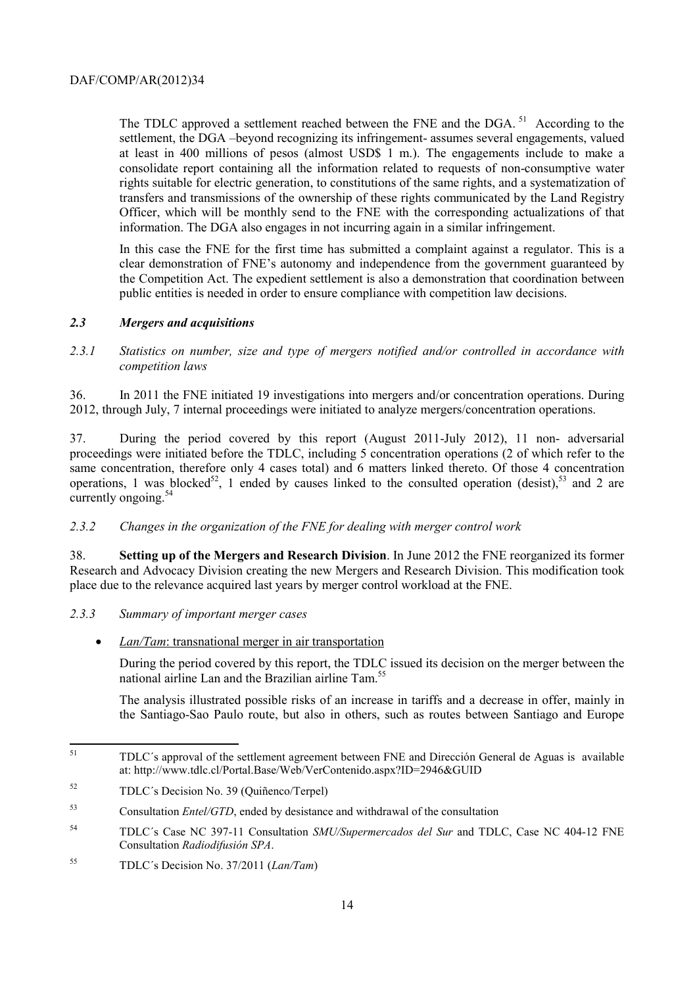The TDLC approved a settlement reached between the FNE and the DGA.<sup>51</sup> According to the settlement, the DGA –beyond recognizing its infringement- assumes several engagements, valued at least in 400 millions of pesos (almost USD\$ 1 m.). The engagements include to make a consolidate report containing all the information related to requests of non-consumptive water rights suitable for electric generation, to constitutions of the same rights, and a systematization of transfers and transmissions of the ownership of these rights communicated by the Land Registry Officer, which will be monthly send to the FNE with the corresponding actualizations of that information. The DGA also engages in not incurring again in a similar infringement.

In this case the FNE for the first time has submitted a complaint against a regulator. This is a clear demonstration of FNE's autonomy and independence from the government guaranteed by the Competition Act. The expedient settlement is also a demonstration that coordination between public entities is needed in order to ensure compliance with competition law decisions.

## *2.3 Mergers and acquisitions*

*2.3.1 Statistics on number, size and type of mergers notified and/or controlled in accordance with competition laws* 

36. In 2011 the FNE initiated 19 investigations into mergers and/or concentration operations. During 2012, through July, 7 internal proceedings were initiated to analyze mergers/concentration operations.

37. During the period covered by this report (August 2011-July 2012), 11 non- adversarial proceedings were initiated before the TDLC, including 5 concentration operations (2 of which refer to the same concentration, therefore only 4 cases total) and 6 matters linked thereto. Of those 4 concentration operations, 1 was blocked<sup>52</sup>, 1 ended by causes linked to the consulted operation (desist),<sup>53</sup> and 2 are currently ongoing.<sup>54</sup>

#### *2.3.2 Changes in the organization of the FNE for dealing with merger control work*

38. **Setting up of the Mergers and Research Division**. In June 2012 the FNE reorganized its former Research and Advocacy Division creating the new Mergers and Research Division. This modification took place due to the relevance acquired last years by merger control workload at the FNE.

- *2.3.3 Summary of important merger cases* 
	- *Lan/Tam*: transnational merger in air transportation

During the period covered by this report, the TDLC issued its decision on the merger between the national airline Lan and the Brazilian airline Tam.<sup>5</sup>

The analysis illustrated possible risks of an increase in tariffs and a decrease in offer, mainly in the Santiago-Sao Paulo route, but also in others, such as routes between Santiago and Europe

 $51$ 51 TDLC´s approval of the settlement agreement between FNE and Dirección General de Aguas is available at: http://www.tdlc.cl/Portal.Base/Web/VerContenido.aspx?ID=2946&GUID

<sup>52</sup> TDLC´s Decision No. 39 (Quiñenco/Terpel)

<sup>53</sup> Consultation *Entel/GTD*, ended by desistance and withdrawal of the consultation

<sup>54</sup> TDLC´s Case NC 397-11 Consultation *SMU/Supermercados del Sur* and TDLC, Case NC 404-12 FNE Consultation *Radiodifusión SPA*.

<sup>55</sup> TDLC´s Decision No. 37/2011 (*Lan/Tam*)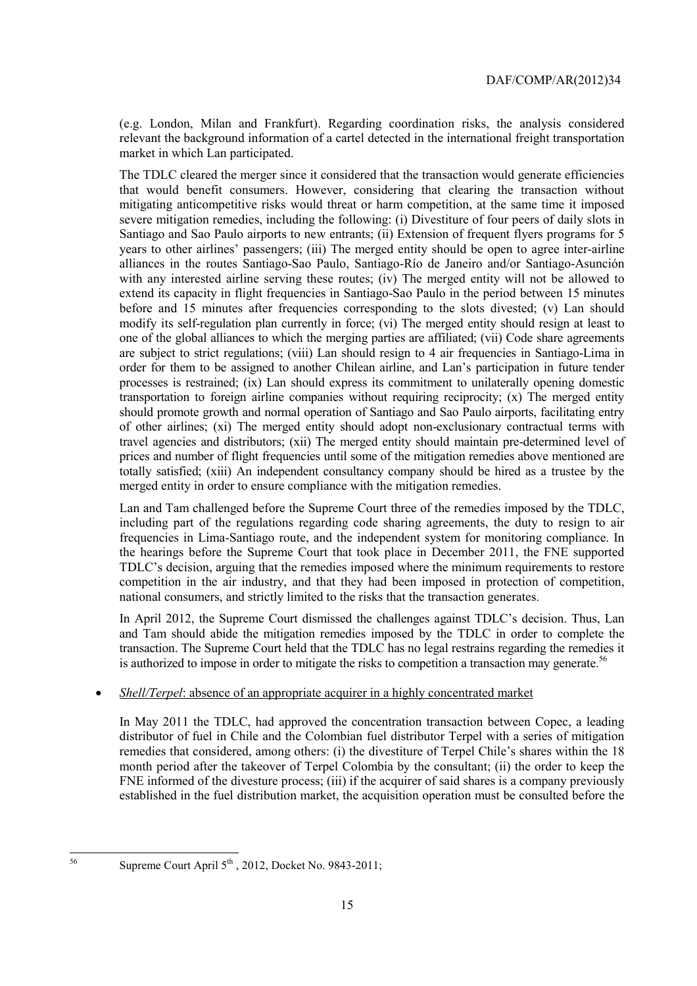(e.g. London, Milan and Frankfurt). Regarding coordination risks, the analysis considered relevant the background information of a cartel detected in the international freight transportation market in which Lan participated.

The TDLC cleared the merger since it considered that the transaction would generate efficiencies that would benefit consumers. However, considering that clearing the transaction without mitigating anticompetitive risks would threat or harm competition, at the same time it imposed severe mitigation remedies, including the following: (i) Divestiture of four peers of daily slots in Santiago and Sao Paulo airports to new entrants; (ii) Extension of frequent flyers programs for 5 years to other airlines' passengers; (iii) The merged entity should be open to agree inter-airline alliances in the routes Santiago-Sao Paulo, Santiago-Río de Janeiro and/or Santiago-Asunción with any interested airline serving these routes; (iv) The merged entity will not be allowed to extend its capacity in flight frequencies in Santiago-Sao Paulo in the period between 15 minutes before and 15 minutes after frequencies corresponding to the slots divested; (v) Lan should modify its self-regulation plan currently in force; (vi) The merged entity should resign at least to one of the global alliances to which the merging parties are affiliated; (vii) Code share agreements are subject to strict regulations; (viii) Lan should resign to 4 air frequencies in Santiago-Lima in order for them to be assigned to another Chilean airline, and Lan's participation in future tender processes is restrained; (ix) Lan should express its commitment to unilaterally opening domestic transportation to foreign airline companies without requiring reciprocity; (x) The merged entity should promote growth and normal operation of Santiago and Sao Paulo airports, facilitating entry of other airlines; (xi) The merged entity should adopt non-exclusionary contractual terms with travel agencies and distributors; (xii) The merged entity should maintain pre-determined level of prices and number of flight frequencies until some of the mitigation remedies above mentioned are totally satisfied; (xiii) An independent consultancy company should be hired as a trustee by the merged entity in order to ensure compliance with the mitigation remedies.

Lan and Tam challenged before the Supreme Court three of the remedies imposed by the TDLC, including part of the regulations regarding code sharing agreements, the duty to resign to air frequencies in Lima-Santiago route, and the independent system for monitoring compliance. In the hearings before the Supreme Court that took place in December 2011, the FNE supported TDLC's decision, arguing that the remedies imposed where the minimum requirements to restore competition in the air industry, and that they had been imposed in protection of competition, national consumers, and strictly limited to the risks that the transaction generates.

In April 2012, the Supreme Court dismissed the challenges against TDLC's decision. Thus, Lan and Tam should abide the mitigation remedies imposed by the TDLC in order to complete the transaction. The Supreme Court held that the TDLC has no legal restrains regarding the remedies it is authorized to impose in order to mitigate the risks to competition a transaction may generate.<sup>56</sup>

#### • *Shell/Terpel*: absence of an appropriate acquirer in a highly concentrated market

In May 2011 the TDLC, had approved the concentration transaction between Copec, a leading distributor of fuel in Chile and the Colombian fuel distributor Terpel with a series of mitigation remedies that considered, among others: (i) the divestiture of Terpel Chile's shares within the 18 month period after the takeover of Terpel Colombia by the consultant; (ii) the order to keep the FNE informed of the divesture process; (iii) if the acquirer of said shares is a company previously established in the fuel distribution market, the acquisition operation must be consulted before the

 $56$ 

Supreme Court April  $5<sup>th</sup>$ , 2012, Docket No. 9843-2011;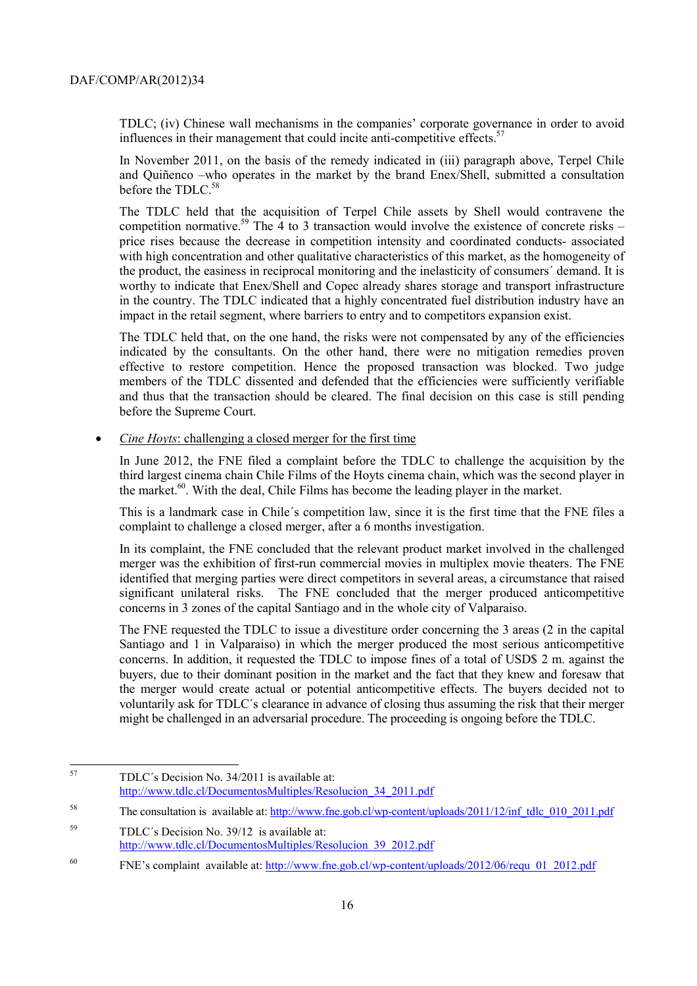TDLC; (iv) Chinese wall mechanisms in the companies' corporate governance in order to avoid influences in their management that could incite anti-competitive effects.<sup>57</sup>

In November 2011, on the basis of the remedy indicated in (iii) paragraph above, Terpel Chile and Quiñenco –who operates in the market by the brand Enex/Shell, submitted a consultation before the TDLC.<sup>58</sup>

The TDLC held that the acquisition of Terpel Chile assets by Shell would contravene the competition normative.<sup>59</sup> The  $\frac{1}{4}$  to 3 transaction would involve the existence of concrete risks – price rises because the decrease in competition intensity and coordinated conducts- associated with high concentration and other qualitative characteristics of this market, as the homogeneity of the product, the easiness in reciprocal monitoring and the inelasticity of consumers´ demand. It is worthy to indicate that Enex/Shell and Copec already shares storage and transport infrastructure in the country. The TDLC indicated that a highly concentrated fuel distribution industry have an impact in the retail segment, where barriers to entry and to competitors expansion exist.

The TDLC held that, on the one hand, the risks were not compensated by any of the efficiencies indicated by the consultants. On the other hand, there were no mitigation remedies proven effective to restore competition. Hence the proposed transaction was blocked. Two judge members of the TDLC dissented and defended that the efficiencies were sufficiently verifiable and thus that the transaction should be cleared. The final decision on this case is still pending before the Supreme Court.

• *Cine Hoyts*: challenging a closed merger for the first time

In June 2012, the FNE filed a complaint before the TDLC to challenge the acquisition by the third largest cinema chain Chile Films of the Hoyts cinema chain, which was the second player in the market.<sup>60</sup>. With the deal, Chile Films has become the leading player in the market.

This is a landmark case in Chile´s competition law, since it is the first time that the FNE files a complaint to challenge a closed merger, after a 6 months investigation.

In its complaint, the FNE concluded that the relevant product market involved in the challenged merger was the exhibition of first-run commercial movies in multiplex movie theaters. The FNE identified that merging parties were direct competitors in several areas, a circumstance that raised significant unilateral risks. The FNE concluded that the merger produced anticompetitive concerns in 3 zones of the capital Santiago and in the whole city of Valparaiso.

The FNE requested the TDLC to issue a divestiture order concerning the 3 areas (2 in the capital Santiago and 1 in Valparaiso) in which the merger produced the most serious anticompetitive concerns. In addition, it requested the TDLC to impose fines of a total of USD\$ 2 m. against the buyers, due to their dominant position in the market and the fact that they knew and foresaw that the merger would create actual or potential anticompetitive effects. The buyers decided not to voluntarily ask for TDLC´s clearance in advance of closing thus assuming the risk that their merger might be challenged in an adversarial procedure. The proceeding is ongoing before the TDLC.

<sup>57</sup> 57 TDLC´s Decision No. 34/2011 is available at: http://www.tdlc.cl/DocumentosMultiples/Resolucion\_34\_2011.pdf

<sup>&</sup>lt;sup>58</sup> The consultation is available at: http://www.fne.gob.cl/wp-content/uploads/2011/12/inf\_tdlc\_010\_2011.pdf

<sup>59</sup> TDLC´s Decision No. 39/12 is available at: http://www.tdlc.cl/DocumentosMultiples/Resolucion\_39\_2012.pdf

<sup>60</sup> FNE's complaint available at: http://www.fne.gob.cl/wp-content/uploads/2012/06/requ\_01\_2012.pdf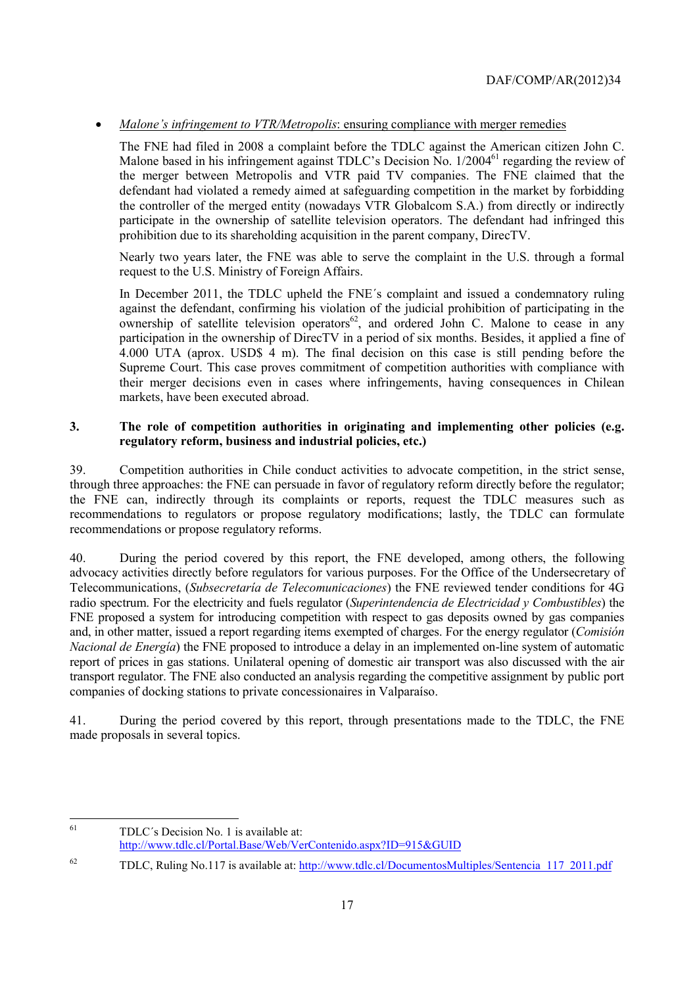## • *Malone's infringement to VTR/Metropolis:* ensuring compliance with merger remedies

The FNE had filed in 2008 a complaint before the TDLC against the American citizen John C. Malone based in his infringement against TDLC's Decision No. 1/2004<sup>61</sup> regarding the review of the merger between Metropolis and VTR paid TV companies. The FNE claimed that the defendant had violated a remedy aimed at safeguarding competition in the market by forbidding the controller of the merged entity (nowadays VTR Globalcom S.A.) from directly or indirectly participate in the ownership of satellite television operators. The defendant had infringed this prohibition due to its shareholding acquisition in the parent company, DirecTV.

Nearly two years later, the FNE was able to serve the complaint in the U.S. through a formal request to the U.S. Ministry of Foreign Affairs.

In December 2011, the TDLC upheld the FNE´s complaint and issued a condemnatory ruling against the defendant, confirming his violation of the judicial prohibition of participating in the ownership of satellite television operators $^{62}$ , and ordered John C. Malone to cease in any participation in the ownership of DirecTV in a period of six months. Besides, it applied a fine of 4.000 UTA (aprox. USD\$ 4 m). The final decision on this case is still pending before the Supreme Court. This case proves commitment of competition authorities with compliance with their merger decisions even in cases where infringements, having consequences in Chilean markets, have been executed abroad.

#### **3. The role of competition authorities in originating and implementing other policies (e.g. regulatory reform, business and industrial policies, etc.)**

39. Competition authorities in Chile conduct activities to advocate competition, in the strict sense, through three approaches: the FNE can persuade in favor of regulatory reform directly before the regulator; the FNE can, indirectly through its complaints or reports, request the TDLC measures such as recommendations to regulators or propose regulatory modifications; lastly, the TDLC can formulate recommendations or propose regulatory reforms.

40. During the period covered by this report, the FNE developed, among others, the following advocacy activities directly before regulators for various purposes. For the Office of the Undersecretary of Telecommunications, (*Subsecretaría de Telecomunicaciones*) the FNE reviewed tender conditions for 4G radio spectrum. For the electricity and fuels regulator (*Superintendencia de Electricidad y Combustibles*) the FNE proposed a system for introducing competition with respect to gas deposits owned by gas companies and, in other matter, issued a report regarding items exempted of charges. For the energy regulator (*Comisión Nacional de Energía*) the FNE proposed to introduce a delay in an implemented on-line system of automatic report of prices in gas stations. Unilateral opening of domestic air transport was also discussed with the air transport regulator. The FNE also conducted an analysis regarding the competitive assignment by public port companies of docking stations to private concessionaires in Valparaíso.

41. During the period covered by this report, through presentations made to the TDLC, the FNE made proposals in several topics.

<sup>61</sup> TDLC's Decision No. 1 is available at: http://www.tdlc.cl/Portal.Base/Web/VerContenido.aspx?ID=915&GUID

 $^{62}$  TDLC, Ruling No.117 is available at: http://www.tdlc.cl/DocumentosMultiples/Sentencia 117 2011.pdf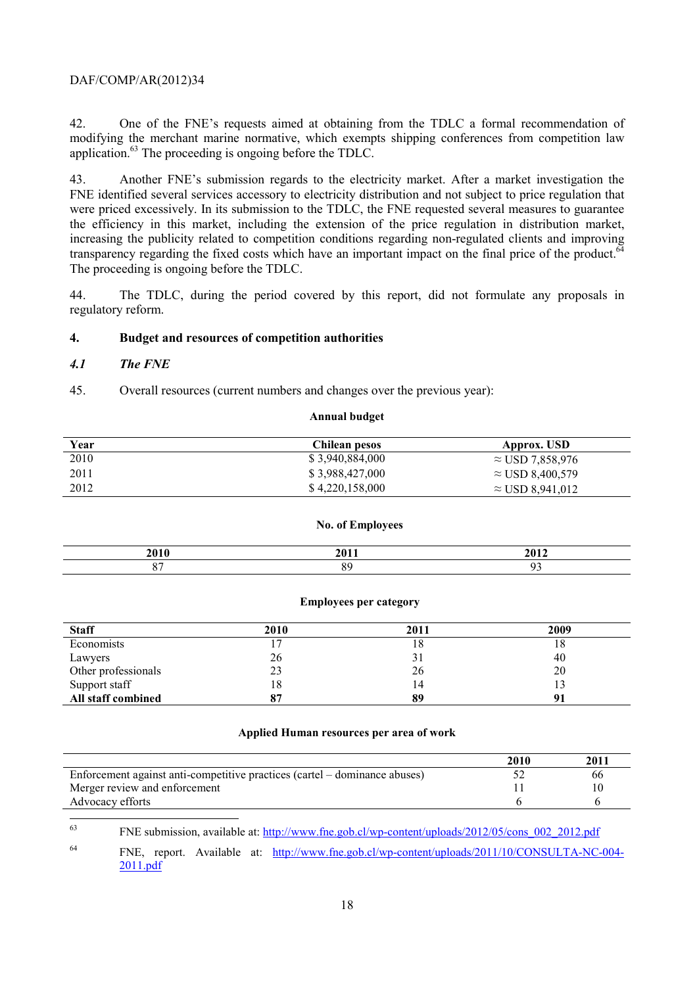42. One of the FNE's requests aimed at obtaining from the TDLC a formal recommendation of modifying the merchant marine normative, which exempts shipping conferences from competition law application.63 The proceeding is ongoing before the TDLC.

43. Another FNE's submission regards to the electricity market. After a market investigation the FNE identified several services accessory to electricity distribution and not subject to price regulation that were priced excessively. In its submission to the TDLC, the FNE requested several measures to guarantee the efficiency in this market, including the extension of the price regulation in distribution market, increasing the publicity related to competition conditions regarding non-regulated clients and improving transparency regarding the fixed costs which have an important impact on the final price of the product. $\delta^2$ The proceeding is ongoing before the TDLC.

44. The TDLC, during the period covered by this report, did not formulate any proposals in regulatory reform.

#### **4. Budget and resources of competition authorities**

#### *4.1 The FNE*

45. Overall resources (current numbers and changes over the previous year):

#### **Annual budget**

| Year | Chilean pesos   | Approx. USD             |
|------|-----------------|-------------------------|
| 2010 | \$3,940,884,000 | $\approx$ USD 7,858,976 |
| 2011 | \$3,988,427,000 | $\approx$ USD 8,400,579 |
| 2012 | \$4,220,158,000 | $\approx$ USD 8,941,012 |

#### **No. of Employees**

| 201 | 3010<br> |
|-----|----------|
|     |          |

#### **Employees per category**

| <b>Staff</b>        | 2010 | 2011 | 2009 |
|---------------------|------|------|------|
| Economists          |      | 10.  | 18   |
| Lawyers             | 26   | ر د  | 40   |
| Other professionals | 23   | 26   | 20   |
| Support staff       | 18   |      |      |
| All staff combined  | 87   | 89   |      |

#### **Applied Human resources per area of work**

|                                                                            | 2010 | 2011 |
|----------------------------------------------------------------------------|------|------|
| Enforcement against anti-competitive practices (cartel – dominance abuses) |      | 66   |
| Merger review and enforcement                                              |      | 10   |
| Advocacy efforts                                                           |      |      |

63 63 FNE submission, available at: http://www.fne.gob.cl/wp-content/uploads/2012/05/cons\_002\_2012.pdf

64 FNE, report. Available at: http://www.fne.gob.cl/wp-content/uploads/2011/10/CONSULTA-NC-004- 2011.pdf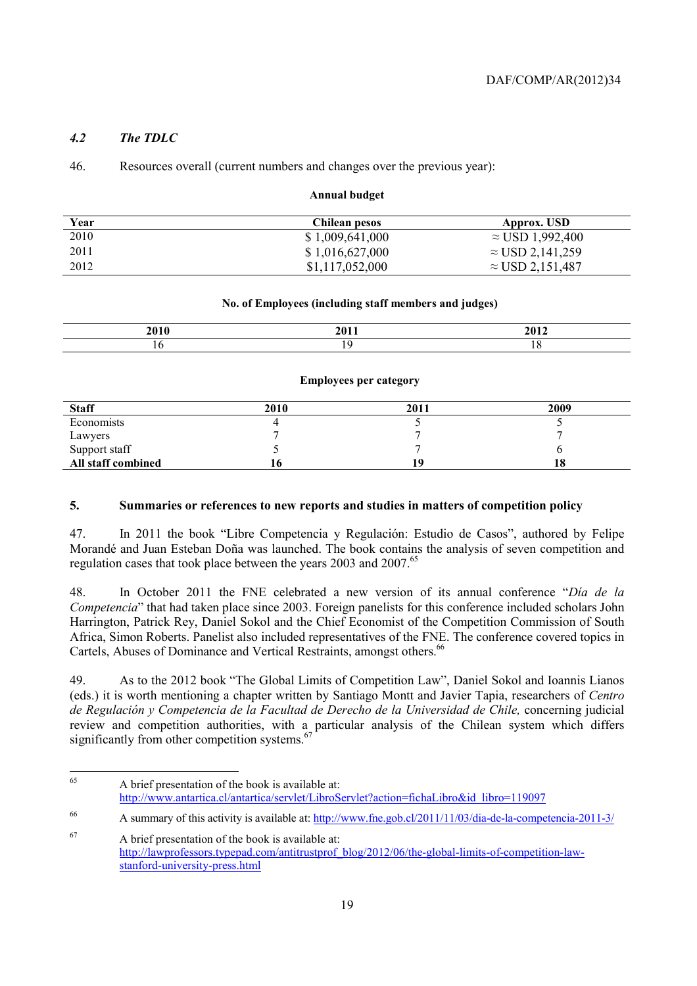## *4.2 The TDLC*

#### 46. Resources overall (current numbers and changes over the previous year):

#### **Annual budget**

| Year | Chilean pesos   | Approx. USD             |
|------|-----------------|-------------------------|
| 2010 | \$1,009,641,000 | $\approx$ USD 1,992,400 |
| 2011 | \$1,016,627,000 | $\approx$ USD 2,141,259 |
| 2012 | \$1,117,052,000 | $\approx$ USD 2,151,487 |

#### **No. of Employees (including staff members and judges)**

| _____ | <b>AA1</b> |  |
|-------|------------|--|
|       |            |  |

#### **Employees per category**

| <b>Staff</b>             | 2010 | 2011 | 2009 |
|--------------------------|------|------|------|
| Economists               |      |      |      |
|                          |      |      |      |
| Lawyers<br>Support staff |      |      |      |
| All staff combined       | 10.  |      | 18   |

#### **5. Summaries or references to new reports and studies in matters of competition policy**

47. In 2011 the book "Libre Competencia y Regulación: Estudio de Casos", authored by Felipe Morandé and Juan Esteban Doña was launched. The book contains the analysis of seven competition and regulation cases that took place between the years 2003 and 2007.<sup>65</sup>

48. In October 2011 the FNE celebrated a new version of its annual conference "*Día de la Competencia*" that had taken place since 2003. Foreign panelists for this conference included scholars John Harrington, Patrick Rey, Daniel Sokol and the Chief Economist of the Competition Commission of South Africa, Simon Roberts. Panelist also included representatives of the FNE. The conference covered topics in Cartels, Abuses of Dominance and Vertical Restraints, amongst others.<sup>66</sup>

49. As to the 2012 book "The Global Limits of Competition Law", Daniel Sokol and Ioannis Lianos (eds.) it is worth mentioning a chapter written by Santiago Montt and Javier Tapia, researchers of *Centro de Regulación y Competencia de la Facultad de Derecho de la Universidad de Chile,* concerning judicial review and competition authorities, with a particular analysis of the Chilean system which differs significantly from other competition systems.<sup>67</sup>

<sup>65</sup> A brief presentation of the book is available at: http://www.antartica.cl/antartica/servlet/LibroServlet?action=fichaLibro&id\_libro=119097

<sup>66</sup> A summary of this activity is available at: http://www.fne.gob.cl/2011/11/03/dia-de-la-competencia-2011-3/

<sup>67</sup> A brief presentation of the book is available at: http://lawprofessors.typepad.com/antitrustprof\_blog/2012/06/the-global-limits-of-competition-lawstanford-university-press.html